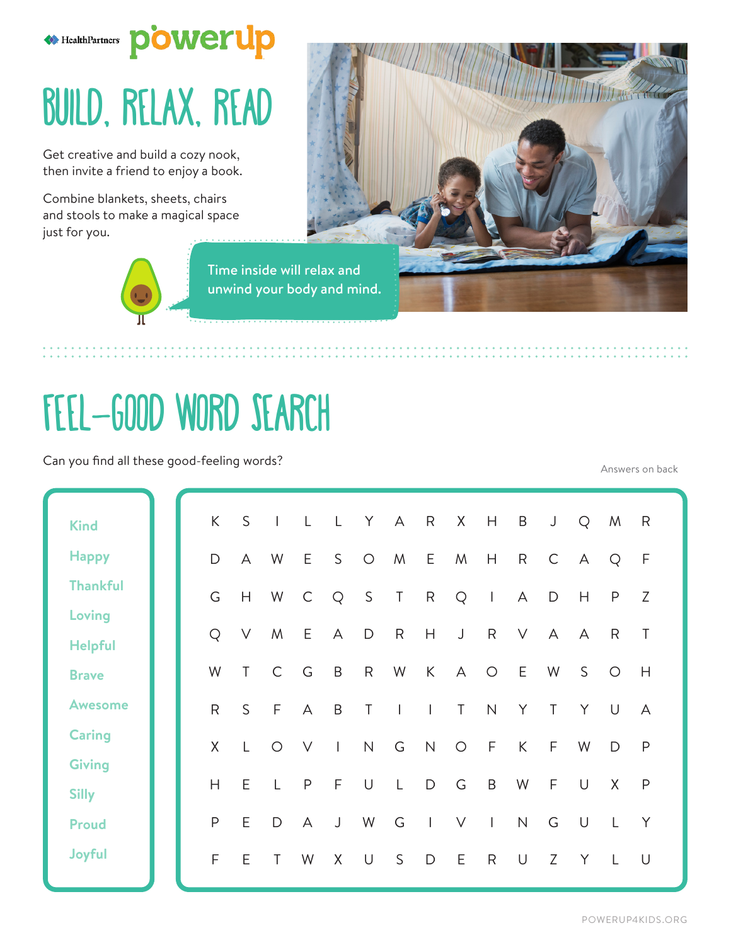

## Build, Relax, Read

Get creative and build a cozy nook, then invite a friend to enjoy a book.

Combine blankets, sheets, chairs and stools to make a magical space just for you.



Time inside will relax and unwind your body and mind.



Can you find all these good-feeling words?

Answers on back

**ANTI THE REPORT OF THE POWER OF THE REPORT OF THE PROPERTY OF THE REPORT OF THE PROPERTY OF THE PROPERTY OF THE** 

|                 |  | K            | $\mathsf{S}$   | $\mathbf{I}$ $\mathbf{L}$ |                         | $\mathsf{L}$ | Y                   | $\overline{A}$           | R               | X H            |              | B               | J              | Q      | M            | R              |
|-----------------|--|--------------|----------------|---------------------------|-------------------------|--------------|---------------------|--------------------------|-----------------|----------------|--------------|-----------------|----------------|--------|--------------|----------------|
| <b>Kind</b>     |  |              |                |                           |                         |              |                     |                          |                 |                |              |                 |                |        |              |                |
| <b>Happy</b>    |  | $\mathsf{D}$ | $\overline{A}$ | W                         | E                       | S            | $\bigcirc$          | M                        | E               | M              | H            | $R_{\parallel}$ | $\mathsf{C}$   | A      | <b>Q</b>     | F              |
| <b>Thankful</b> |  | G            | H              | W                         | $\mathbb{C}$            | Q            | S                   | $\top$                   | $R_{\parallel}$ | Q              | $\mathbb{R}$ | $\mathsf{A}$    | D              | H      | P            | Z              |
| Loving          |  |              |                |                           |                         |              |                     |                          |                 |                |              |                 |                |        |              |                |
| <b>Helpful</b>  |  | Q            | V              | M                         | E                       | A            | $\mathsf D$         | $\mathsf{R}$             | H               | $\bigcup$      | $\mathsf{R}$ | $\vee$          | $\overline{A}$ | A      | R            | $\top$         |
| <b>Brave</b>    |  | W            | $\top$         | $\mathsf{C}$              | G                       | $\mathsf B$  | $\mathsf{R}$        | W                        | $\mathsf{K}$    | $\overline{A}$ | $\circ$      | E               | W              | S      | $\circ$      | H              |
| <b>Awesome</b>  |  | $\mathsf{R}$ | $\mathsf{S}$   | $-F$                      | $\overline{A}$          | B            | $\top$              | $\overline{\phantom{a}}$ | $\sim 1$ .      | $\top$         | N            | Y               | $\top$         | Y      | $\cup$       | $\overline{A}$ |
| <b>Caring</b>   |  | $\mathsf{X}$ | L              | $\circ$                   | $\vee$                  | $\Box$       | $\mathsf{N}\xspace$ | G                        | N               | $\circ$        | $\mathsf F$  | $\mathsf{K}$    | $\mathsf{F}$   | W      | D            | $\mathsf{P}$   |
| <b>Giving</b>   |  |              |                |                           |                         |              |                     |                          |                 |                |              |                 |                |        |              |                |
| <b>Silly</b>    |  | H            | E              | $\mathsf{L}$              | $\mathsf{P}$            | F            | $\cup$              | $\mathsf{L}$             | $\mathsf D$     | G              | $\mathsf B$  | W               | $\mathsf{F}$   | $\cup$ | X            | $\mathsf{P}$   |
| <b>Proud</b>    |  | $\mathsf P$  | E              | $\mathsf{D}$              | $\overline{\mathsf{A}}$ | $\bigcup$    | W                   | G                        | $\Box$          | $\vee$         | $\mathbb{R}$ | $\mathsf{N}$    | G              | $\cup$ | $\mathsf{L}$ | Y              |
| Joyful          |  | F            | E              | T                         | W                       | X            | $\cup$              | $\mathsf S$              | D               | E              | $\mathsf R$  | U               | Z              | Y      | $\mathsf{L}$ | U              |